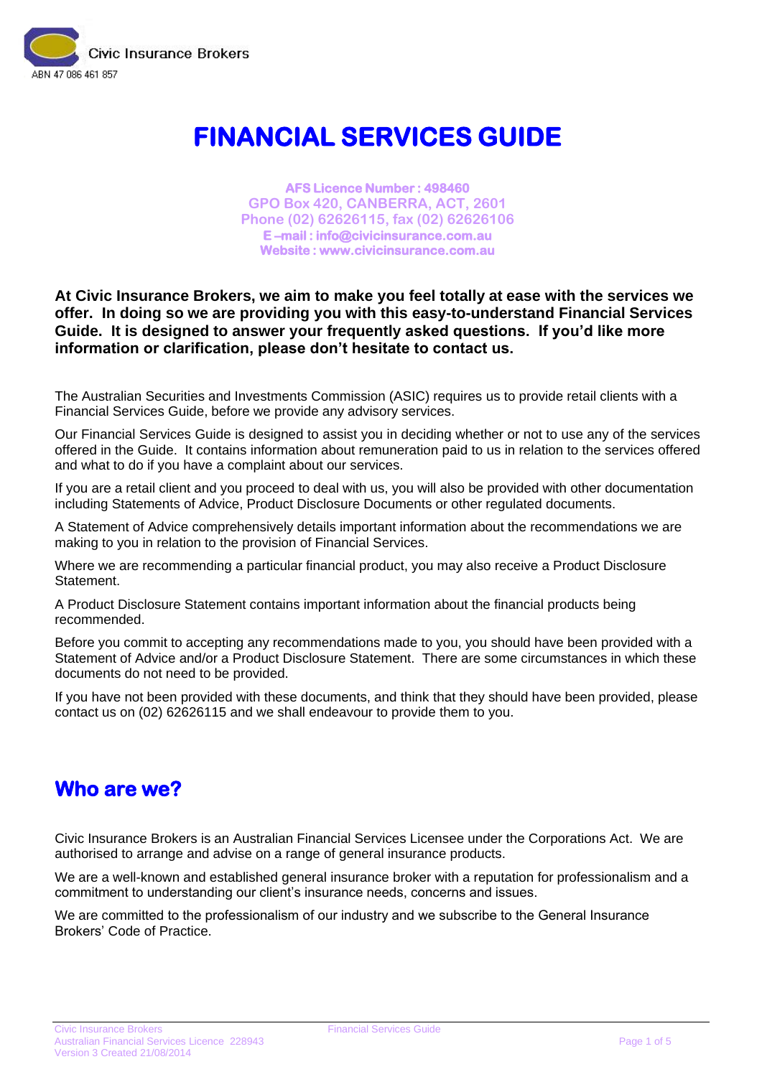

# **FINANCIAL SERVICES GUIDE**

**AFS Licence Number : 498460 GPO Box 420, CANBERRA, ACT, 2601 Phone (02) 62626115, fax (02) 62626106 E –mail : info@civicinsurance.com.au Website : www.civicinsurance.com.au** 

### **At Civic Insurance Brokers, we aim to make you feel totally at ease with the services we offer. In doing so we are providing you with this easy-to-understand Financial Services Guide. It is designed to answer your frequently asked questions. If you'd like more information or clarification, please don't hesitate to contact us.**

The Australian Securities and Investments Commission (ASIC) requires us to provide retail clients with a Financial Services Guide, before we provide any advisory services.

Our Financial Services Guide is designed to assist you in deciding whether or not to use any of the services offered in the Guide. It contains information about remuneration paid to us in relation to the services offered and what to do if you have a complaint about our services.

If you are a retail client and you proceed to deal with us, you will also be provided with other documentation including Statements of Advice, Product Disclosure Documents or other regulated documents.

A Statement of Advice comprehensively details important information about the recommendations we are making to you in relation to the provision of Financial Services.

Where we are recommending a particular financial product, you may also receive a Product Disclosure Statement.

A Product Disclosure Statement contains important information about the financial products being recommended.

Before you commit to accepting any recommendations made to you, you should have been provided with a Statement of Advice and/or a Product Disclosure Statement. There are some circumstances in which these documents do not need to be provided.

If you have not been provided with these documents, and think that they should have been provided, please contact us on (02) 62626115 and we shall endeavour to provide them to you.

### **Who are we?**

Civic Insurance Brokers is an Australian Financial Services Licensee under the Corporations Act. We are authorised to arrange and advise on a range of general insurance products.

We are a well-known and established general insurance broker with a reputation for professionalism and a commitment to understanding our client's insurance needs, concerns and issues.

We are committed to the professionalism of our industry and we subscribe to the General Insurance Brokers' Code of Practice.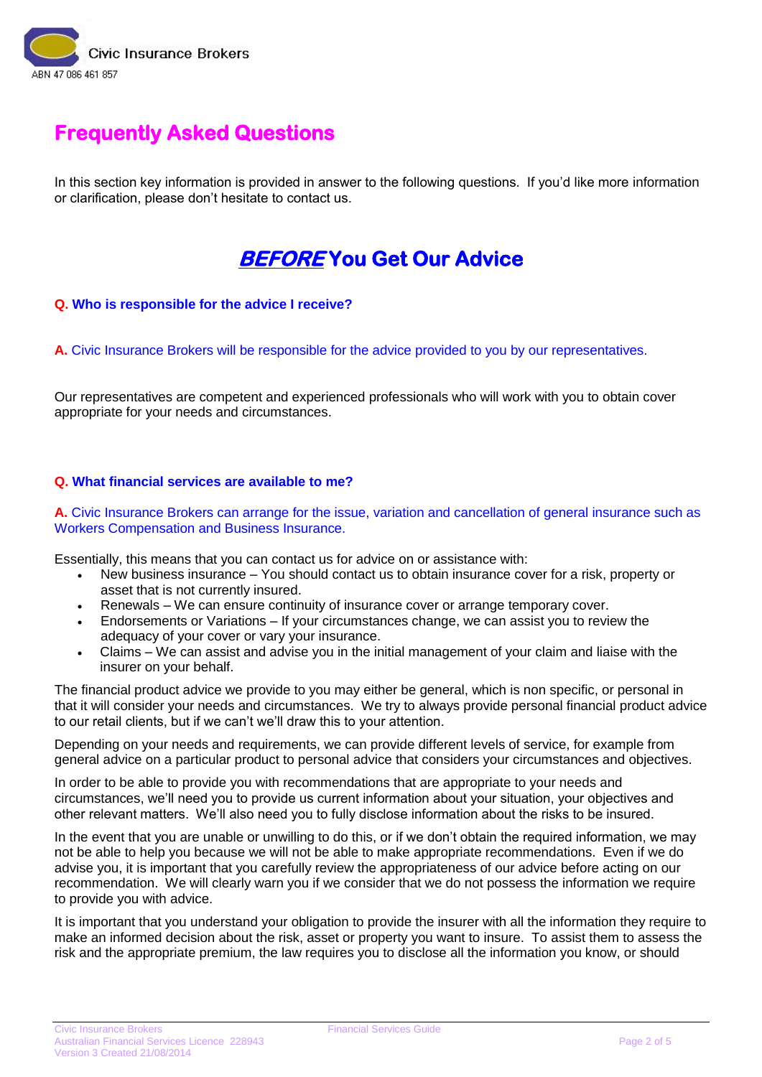

### **Frequently Asked Questions**

In this section key information is provided in answer to the following questions. If you'd like more information or clarification, please don't hesitate to contact us.

### **BEFORE You Get Our Advice**

### **Q. Who is responsible for the advice I receive?**

**A.** Civic Insurance Brokers will be responsible for the advice provided to you by our representatives.

Our representatives are competent and experienced professionals who will work with you to obtain cover appropriate for your needs and circumstances.

### **Q. What financial services are available to me?**

**A.** Civic Insurance Brokers can arrange for the issue, variation and cancellation of general insurance such as Workers Compensation and Business Insurance.

Essentially, this means that you can contact us for advice on or assistance with:

- New business insurance You should contact us to obtain insurance cover for a risk, property or asset that is not currently insured.
- Renewals We can ensure continuity of insurance cover or arrange temporary cover.
- Endorsements or Variations If your circumstances change, we can assist you to review the adequacy of your cover or vary your insurance.
- Claims We can assist and advise you in the initial management of your claim and liaise with the insurer on your behalf.

The financial product advice we provide to you may either be general, which is non specific, or personal in that it will consider your needs and circumstances. We try to always provide personal financial product advice to our retail clients, but if we can't we'll draw this to your attention.

Depending on your needs and requirements, we can provide different levels of service, for example from general advice on a particular product to personal advice that considers your circumstances and objectives.

In order to be able to provide you with recommendations that are appropriate to your needs and circumstances, we'll need you to provide us current information about your situation, your objectives and other relevant matters. We'll also need you to fully disclose information about the risks to be insured.

In the event that you are unable or unwilling to do this, or if we don't obtain the required information, we may not be able to help you because we will not be able to make appropriate recommendations. Even if we do advise you, it is important that you carefully review the appropriateness of our advice before acting on our recommendation. We will clearly warn you if we consider that we do not possess the information we require to provide you with advice.

It is important that you understand your obligation to provide the insurer with all the information they require to make an informed decision about the risk, asset or property you want to insure. To assist them to assess the risk and the appropriate premium, the law requires you to disclose all the information you know, or should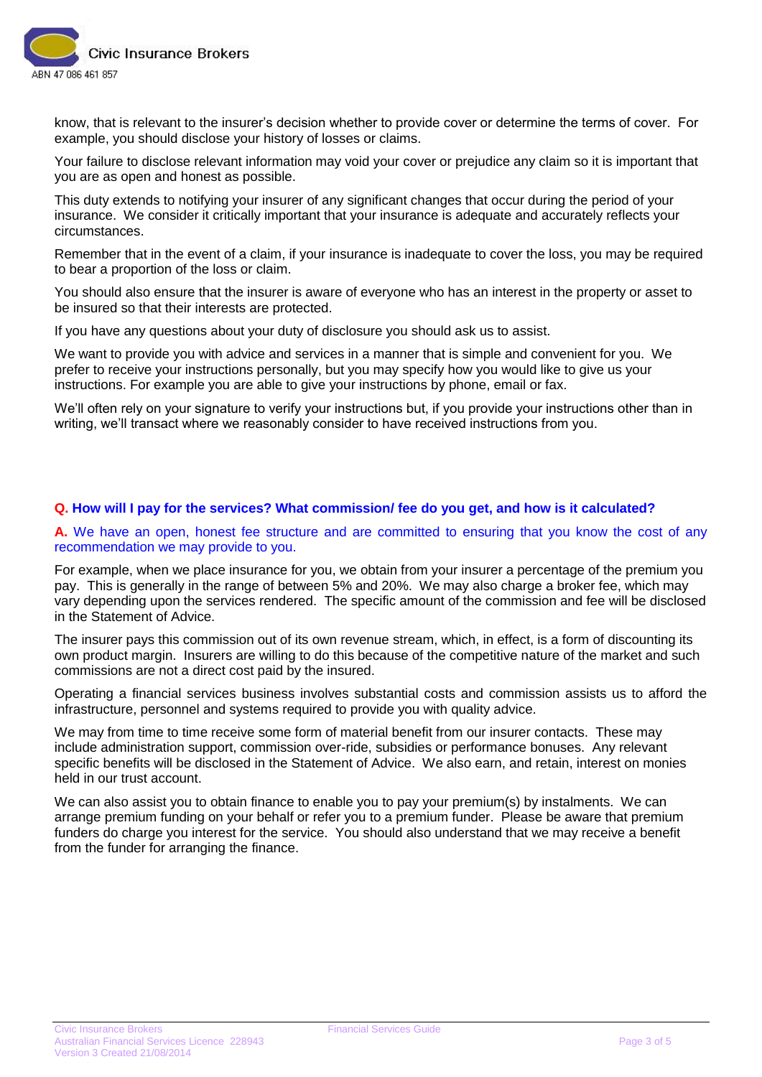

know, that is relevant to the insurer's decision whether to provide cover or determine the terms of cover. For example, you should disclose your history of losses or claims.

Your failure to disclose relevant information may void your cover or prejudice any claim so it is important that you are as open and honest as possible.

This duty extends to notifying your insurer of any significant changes that occur during the period of your insurance. We consider it critically important that your insurance is adequate and accurately reflects your circumstances.

Remember that in the event of a claim, if your insurance is inadequate to cover the loss, you may be required to bear a proportion of the loss or claim.

You should also ensure that the insurer is aware of everyone who has an interest in the property or asset to be insured so that their interests are protected.

If you have any questions about your duty of disclosure you should ask us to assist.

We want to provide you with advice and services in a manner that is simple and convenient for you. We prefer to receive your instructions personally, but you may specify how you would like to give us your instructions. For example you are able to give your instructions by phone, email or fax.

We'll often rely on your signature to verify your instructions but, if you provide your instructions other than in writing, we'll transact where we reasonably consider to have received instructions from you.

### **Q. How will I pay for the services? What commission/ fee do you get, and how is it calculated?**

**A.** We have an open, honest fee structure and are committed to ensuring that you know the cost of any recommendation we may provide to you.

For example, when we place insurance for you, we obtain from your insurer a percentage of the premium you pay. This is generally in the range of between 5% and 20%. We may also charge a broker fee, which may vary depending upon the services rendered. The specific amount of the commission and fee will be disclosed in the Statement of Advice.

The insurer pays this commission out of its own revenue stream, which, in effect, is a form of discounting its own product margin. Insurers are willing to do this because of the competitive nature of the market and such commissions are not a direct cost paid by the insured.

Operating a financial services business involves substantial costs and commission assists us to afford the infrastructure, personnel and systems required to provide you with quality advice.

We may from time to time receive some form of material benefit from our insurer contacts. These may include administration support, commission over-ride, subsidies or performance bonuses. Any relevant specific benefits will be disclosed in the Statement of Advice. We also earn, and retain, interest on monies held in our trust account.

We can also assist you to obtain finance to enable you to pay your premium(s) by instalments. We can arrange premium funding on your behalf or refer you to a premium funder. Please be aware that premium funders do charge you interest for the service. You should also understand that we may receive a benefit from the funder for arranging the finance.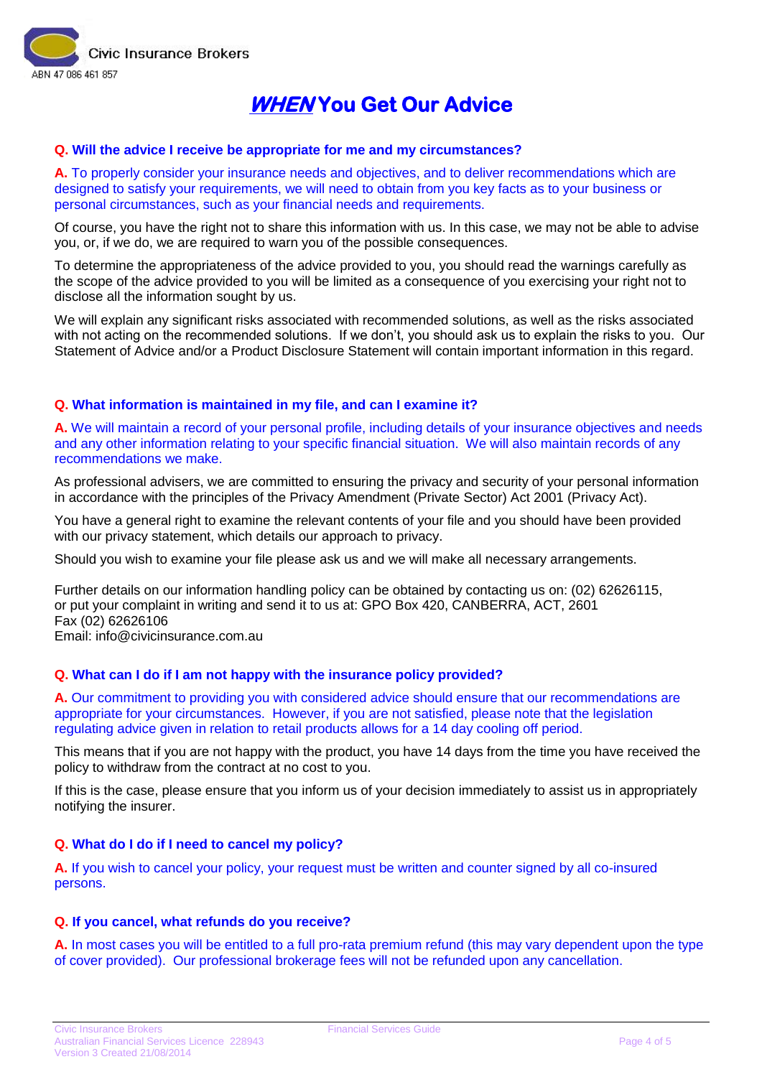

### **WHEN You Get Our Advice**

#### **Q. Will the advice I receive be appropriate for me and my circumstances?**

**A.** To properly consider your insurance needs and objectives, and to deliver recommendations which are designed to satisfy your requirements, we will need to obtain from you key facts as to your business or personal circumstances, such as your financial needs and requirements.

Of course, you have the right not to share this information with us. In this case, we may not be able to advise you, or, if we do, we are required to warn you of the possible consequences.

To determine the appropriateness of the advice provided to you, you should read the warnings carefully as the scope of the advice provided to you will be limited as a consequence of you exercising your right not to disclose all the information sought by us.

We will explain any significant risks associated with recommended solutions, as well as the risks associated with not acting on the recommended solutions. If we don't, you should ask us to explain the risks to you. Our Statement of Advice and/or a Product Disclosure Statement will contain important information in this regard.

### **Q. What information is maintained in my file, and can I examine it?**

**A.** We will maintain a record of your personal profile, including details of your insurance objectives and needs and any other information relating to your specific financial situation. We will also maintain records of any recommendations we make.

As professional advisers, we are committed to ensuring the privacy and security of your personal information in accordance with the principles of the Privacy Amendment (Private Sector) Act 2001 (Privacy Act).

You have a general right to examine the relevant contents of your file and you should have been provided with our privacy statement, which details our approach to privacy.

Should you wish to examine your file please ask us and we will make all necessary arrangements.

Further details on our information handling policy can be obtained by contacting us on: (02) 62626115, or put your complaint in writing and send it to us at: GPO Box 420, CANBERRA, ACT, 2601 Fax (02) 62626106 Email: info@civicinsurance.com.au

### **Q. What can I do if I am not happy with the insurance policy provided?**

**A.** Our commitment to providing you with considered advice should ensure that our recommendations are appropriate for your circumstances. However, if you are not satisfied, please note that the legislation regulating advice given in relation to retail products allows for a 14 day cooling off period.

This means that if you are not happy with the product, you have 14 days from the time you have received the policy to withdraw from the contract at no cost to you.

If this is the case, please ensure that you inform us of your decision immediately to assist us in appropriately notifying the insurer.

### **Q. What do I do if I need to cancel my policy?**

**A.** If you wish to cancel your policy, your request must be written and counter signed by all co-insured persons.

#### **Q. If you cancel, what refunds do you receive?**

**A.** In most cases you will be entitled to a full pro-rata premium refund (this may vary dependent upon the type of cover provided). Our professional brokerage fees will not be refunded upon any cancellation.